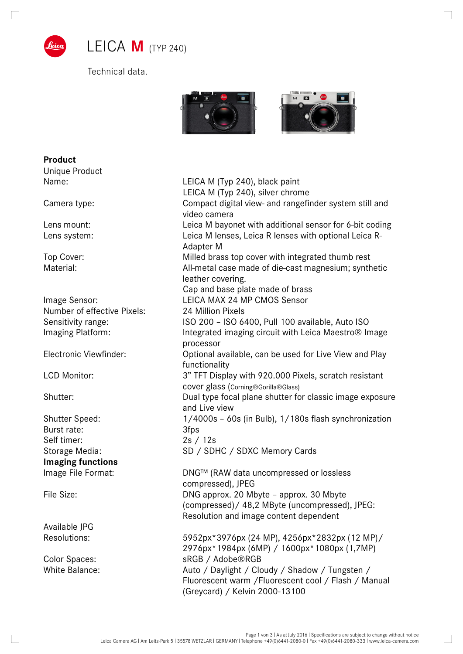

 $\Box$ 

Technical data.



| <b>Product</b><br>Unique Product |                                                                                                                                          |
|----------------------------------|------------------------------------------------------------------------------------------------------------------------------------------|
| Name:                            | LEICA M (Typ 240), black paint                                                                                                           |
|                                  | LEICA M (Typ 240), silver chrome                                                                                                         |
| Camera type:                     | Compact digital view- and rangefinder system still and<br>video camera                                                                   |
| Lens mount:                      | Leica M bayonet with additional sensor for 6-bit coding                                                                                  |
| Lens system:                     | Leica M lenses, Leica R lenses with optional Leica R-<br>Adapter M                                                                       |
| Top Cover:                       | Milled brass top cover with integrated thumb rest                                                                                        |
| Material:                        | All-metal case made of die-cast magnesium; synthetic<br>leather covering.                                                                |
|                                  | Cap and base plate made of brass                                                                                                         |
| Image Sensor:                    | LEICA MAX 24 MP CMOS Sensor                                                                                                              |
| Number of effective Pixels:      | 24 Million Pixels                                                                                                                        |
| Sensitivity range:               | ISO 200 - ISO 6400, Pull 100 available, Auto ISO                                                                                         |
| Imaging Platform:                | Integrated imaging circuit with Leica Maestro <sup>®</sup> Image<br>processor                                                            |
| Electronic Viewfinder:           | Optional available, can be used for Live View and Play<br>functionality                                                                  |
| LCD Monitor:                     | 3" TFT Display with 920.000 Pixels, scratch resistant<br>cover glass (Corning®Gorilla®Glass)                                             |
| Shutter:                         | Dual type focal plane shutter for classic image exposure<br>and Live view                                                                |
| <b>Shutter Speed:</b>            | 1/4000s - 60s (in Bulb), 1/180s flash synchronization                                                                                    |
| Burst rate:                      | 3fps                                                                                                                                     |
| Self timer:                      | 2s / 12s                                                                                                                                 |
| Storage Media:                   | SD / SDHC / SDXC Memory Cards                                                                                                            |
| <b>Imaging functions</b>         |                                                                                                                                          |
| Image File Format:               | DNG™ (RAW data uncompressed or lossless<br>compressed), JPEG                                                                             |
| File Size:                       | DNG approx. 20 Mbyte - approx. 30 Mbyte<br>(compressed)/ 48,2 MByte (uncompressed), JPEG:<br>Resolution and image content dependent      |
| Available JPG                    |                                                                                                                                          |
| Resolutions:                     | 5952px*3976px (24 MP), 4256px*2832px (12 MP)/<br>2976px*1984px (6MP) / 1600px*1080px (1,7MP)                                             |
| <b>Color Spaces:</b>             | sRGB / Adobe®RGB                                                                                                                         |
| <b>White Balance:</b>            | Auto / Daylight / Cloudy / Shadow / Tungsten /<br>Fluorescent warm / Fluorescent cool / Flash / Manual<br>(Greycard) / Kelvin 2000-13100 |

 $\overline{\phantom{a}}$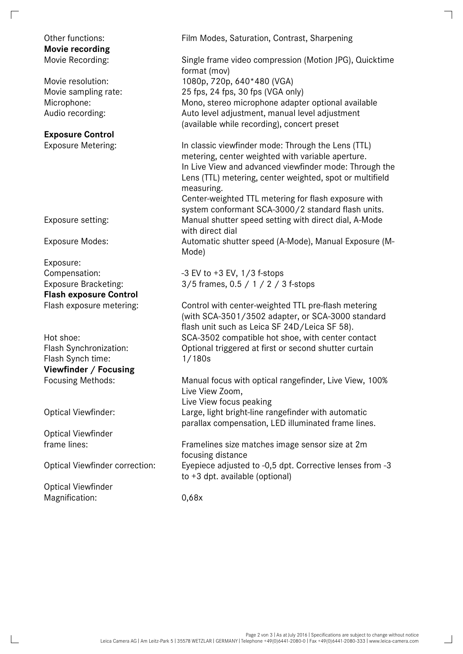## **Movie recording**

## **Exposure Control**

Exposure: **Flash exposure Control** 

Flash Synch time: 1/180s **Viewfinder / Focusing** 

Optical Viewfinder

Optical Viewfinder Magnification: 0,68x

Other functions: Film Modes, Saturation, Contrast, Sharpening

Movie Recording: Single frame video compression (Motion JPG), Quicktime format (mov) Movie resolution: 1080p, 720p, 640\*480 (VGA) Movie sampling rate: 25 fps, 24 fps, 30 fps (VGA only) Microphone: Mono, stereo microphone adapter optional available Audio recording: Auto level adjustment, manual level adjustment (available while recording), concert preset

Exposure Metering: In classic viewfinder mode: Through the Lens (TTL) metering, center weighted with variable aperture. In Live View and advanced viewfinder mode: Through the Lens (TTL) metering, center weighted, spot or multifield measuring.

Center-weighted TTL metering for flash exposure with system conformant SCA-3000/2 standard flash units. Exposure setting: Manual shutter speed setting with direct dial, A-Mode with direct dial

Exposure Modes: Automatic shutter speed (A-Mode), Manual Exposure (M-Mode)

Compensation: -3 EV to +3 EV, 1/3 f-stops Exposure Bracketing: 3/5 frames, 0.5 / 1 / 2 / 3 f-stops

Flash exposure metering: Control with center-weighted TTL pre-flash metering (with SCA-3501/3502 adapter, or SCA-3000 standard flash unit such as Leica SF 24D/Leica SF 58). Hot shoe: SCA-3502 compatible hot shoe, with center contact Flash Synchronization: Optional triggered at first or second shutter curtain

Focusing Methods: Manual focus with optical rangefinder, Live View, 100% Live View Zoom, Live View focus peaking Optical Viewfinder: Large, light bright-line rangefinder with automatic parallax compensation, LED illuminated frame lines.

frame lines: Framelines size matches image sensor size at 2m focusing distance Optical Viewfinder correction: Eyepiece adjusted to -0,5 dpt. Corrective lenses from -3 to +3 dpt. available (optional)

 $\overline{\phantom{0}}$